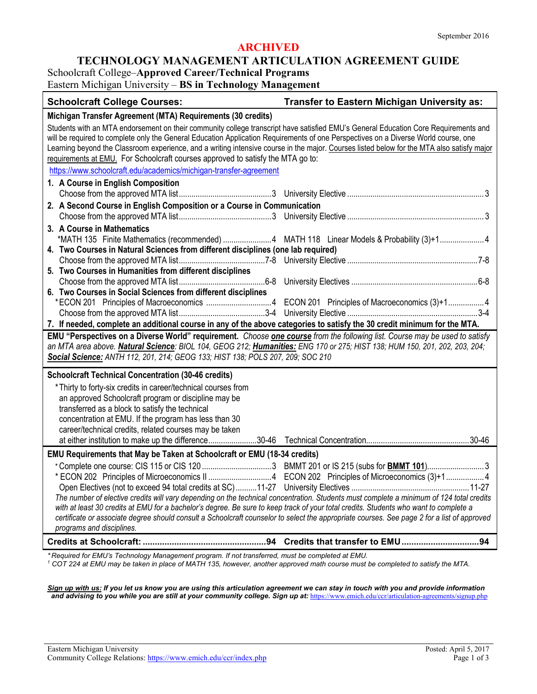### **ARCHIVED**

#### **TECHNOLOGY MANAGEMENT ARTICULATION AGREEMENT GUIDE**

Schoolcraft College–**Approved Career/Technical Programs**

Eastern Michigan University – **BS in Technology Management**

| <b>Schoolcraft College Courses:</b>                                                                                                                                                                                                                                                                                                                                                                                                                                                                         | Transfer to Eastern Michigan University as: |
|-------------------------------------------------------------------------------------------------------------------------------------------------------------------------------------------------------------------------------------------------------------------------------------------------------------------------------------------------------------------------------------------------------------------------------------------------------------------------------------------------------------|---------------------------------------------|
| Michigan Transfer Agreement (MTA) Requirements (30 credits)                                                                                                                                                                                                                                                                                                                                                                                                                                                 |                                             |
| Students with an MTA endorsement on their community college transcript have satisfied EMU's General Education Core Requirements and<br>will be required to complete only the General Education Application Requirements of one Perspectives on a Diverse World course, one<br>Learning beyond the Classroom experience, and a writing intensive course in the major. Courses listed below for the MTA also satisfy major<br>requirements at EMU. For Schoolcraft courses approved to satisfy the MTA go to: |                                             |
| https://www.schoolcraft.edu/academics/michigan-transfer-agreement                                                                                                                                                                                                                                                                                                                                                                                                                                           |                                             |
| 1. A Course in English Composition                                                                                                                                                                                                                                                                                                                                                                                                                                                                          |                                             |
| 2. A Second Course in English Composition or a Course in Communication                                                                                                                                                                                                                                                                                                                                                                                                                                      |                                             |
|                                                                                                                                                                                                                                                                                                                                                                                                                                                                                                             |                                             |
| 3. A Course in Mathematics<br>*MATH 135 Finite Mathematics (recommended) 4 MATH 118 Linear Models & Probability (3)+14<br>4. Two Courses in Natural Sciences from different disciplines (one lab required)                                                                                                                                                                                                                                                                                                  |                                             |
|                                                                                                                                                                                                                                                                                                                                                                                                                                                                                                             |                                             |
| 5. Two Courses in Humanities from different disciplines                                                                                                                                                                                                                                                                                                                                                                                                                                                     |                                             |
| 6. Two Courses in Social Sciences from different disciplines                                                                                                                                                                                                                                                                                                                                                                                                                                                |                                             |
| *ECON 201 Principles of Macroeconomics 4 ECON 201 Principles of Macroeconomics (3)+1 4                                                                                                                                                                                                                                                                                                                                                                                                                      |                                             |
|                                                                                                                                                                                                                                                                                                                                                                                                                                                                                                             |                                             |
| 7. If needed, complete an additional course in any of the above categories to satisfy the 30 credit minimum for the MTA.                                                                                                                                                                                                                                                                                                                                                                                    |                                             |
| EMU "Perspectives on a Diverse World" requirement. Choose one course from the following list. Course may be used to satisfy<br>an MTA area above. Natural Science: BIOL 104, GEOG 212; Humanities: ENG 170 or 275; HIST 138; HUM 150, 201, 202, 203, 204;<br>Social Science: ANTH 112, 201, 214; GEOG 133; HIST 138; POLS 207, 209; SOC 210                                                                                                                                                                 |                                             |
| <b>Schoolcraft Technical Concentration (30-46 credits)</b>                                                                                                                                                                                                                                                                                                                                                                                                                                                  |                                             |
| * Thirty to forty-six credits in career/technical courses from<br>an approved Schoolcraft program or discipline may be<br>transferred as a block to satisfy the technical<br>concentration at EMU. If the program has less than 30<br>career/technical credits, related courses may be taken                                                                                                                                                                                                                |                                             |
| EMU Requirements that May be Taken at Schoolcraft or EMU (18-34 credits)                                                                                                                                                                                                                                                                                                                                                                                                                                    |                                             |
| The number of elective credits will vary depending on the technical concentration. Students must complete a minimum of 124 total credits<br>with at least 30 credits at EMU for a bachelor's degree. Be sure to keep track of your total credits. Students who want to complete a<br>certificate or associate degree should consult a Schoolcraft counselor to select the appropriate courses. See page 2 for a list of approved<br>programs and disciplines.                                               |                                             |
|                                                                                                                                                                                                                                                                                                                                                                                                                                                                                                             |                                             |

*\* Required for EMU's Technology Management program. If not transferred, must be completed at EMU.*

*<sup>1</sup> COT 224 at EMU may be taken in place of MATH 135, however, another approved math course must be completed to satisfy the MTA.*

*Sign up with us: If you let us know you are using this articulation agreement we can stay in touch with you and provide information and advising to you while you are still at your community college. Sign up at:* <https://www.emich.edu/ccr/articulation-agreements/signup.php>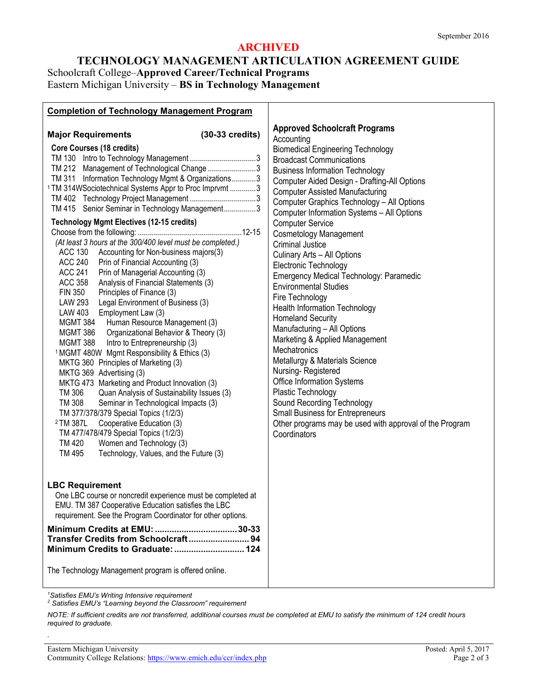## **ARCHIVED**

# **TECHNOLOGY MANAGEMENT ARTICULATION AGREEMENT GUIDE** Schoolcraft College–**Approved Career/Technical Programs** Eastern Michigan University – **BS in Technology Management**

| <b>Completion of Technology Management Program</b>                                                                                                                                                                                                                                                                                                                                                                                                                                                                                                                                                                                                                                                                                                                                                                                                                                                                                                                                                                                                                                                                                                                                                                                                                                                                                                                                                                                                                              |                                                                                                                                                                                                                                                                                                                                                                                                                                                                                                                                                                                                                                                                                                                                                                                                                                                                                                                                                                                                                                                   |
|---------------------------------------------------------------------------------------------------------------------------------------------------------------------------------------------------------------------------------------------------------------------------------------------------------------------------------------------------------------------------------------------------------------------------------------------------------------------------------------------------------------------------------------------------------------------------------------------------------------------------------------------------------------------------------------------------------------------------------------------------------------------------------------------------------------------------------------------------------------------------------------------------------------------------------------------------------------------------------------------------------------------------------------------------------------------------------------------------------------------------------------------------------------------------------------------------------------------------------------------------------------------------------------------------------------------------------------------------------------------------------------------------------------------------------------------------------------------------------|---------------------------------------------------------------------------------------------------------------------------------------------------------------------------------------------------------------------------------------------------------------------------------------------------------------------------------------------------------------------------------------------------------------------------------------------------------------------------------------------------------------------------------------------------------------------------------------------------------------------------------------------------------------------------------------------------------------------------------------------------------------------------------------------------------------------------------------------------------------------------------------------------------------------------------------------------------------------------------------------------------------------------------------------------|
| $(30-33 \text{ credits})$<br><b>Major Requirements</b><br><b>Core Courses (18 credits)</b><br>TM 212 Management of Technological Change 3<br>TM 311 Information Technology Mgmt & Organizations3<br><sup>1</sup> TM 314WSociotechnical Systems Appr to Proc Imprvmt 3<br>TM 415 Senior Seminar in Technology Management3<br><b>Technology Mgmt Electives (12-15 credits)</b><br>(At least 3 hours at the 300/400 level must be completed.)<br>ACC 130 Accounting for Non-business majors(3)<br>ACC 240 Prin of Financial Accounting (3)<br><b>ACC 241</b><br>Prin of Managerial Accounting (3)<br><b>ACC 358</b><br>Analysis of Financial Statements (3)<br>Principles of Finance (3)<br><b>FIN 350</b><br>Legal Environment of Business (3)<br><b>LAW 293</b><br>LAW 403<br>Employment Law (3)<br>MGMT 384<br>Human Resource Management (3)<br>Organizational Behavior & Theory (3)<br>MGMT 386<br><b>MGMT 388</b><br>Intro to Entrepreneurship (3)<br><sup>1</sup> MGMT 480W Mgmt Responsibility & Ethics (3)<br>MKTG 360 Principles of Marketing (3)<br>MKTG 369 Advertising (3)<br>MKTG 473 Marketing and Product Innovation (3)<br>TM 306<br>Quan Analysis of Sustainability Issues (3)<br>TM 308<br>Seminar in Technological Impacts (3)<br>TM 377/378/379 Special Topics (1/2/3)<br><sup>2</sup> TM 387L<br>Cooperative Education (3)<br>TM 477/478/479 Special Topics (1/2/3)<br>TM 420<br>Women and Technology (3)<br>TM 495<br>Technology, Values, and the Future (3) | <b>Approved Schoolcraft Programs</b><br>Accounting<br><b>Biomedical Engineering Technology</b><br><b>Broadcast Communications</b><br><b>Business Information Technology</b><br>Computer Aided Design - Drafting-All Options<br><b>Computer Assisted Manufacturing</b><br>Computer Graphics Technology - All Options<br>Computer Information Systems - All Options<br><b>Computer Service</b><br><b>Cosmetology Management</b><br><b>Criminal Justice</b><br>Culinary Arts - All Options<br>Electronic Technology<br><b>Emergency Medical Technology: Paramedic</b><br><b>Environmental Studies</b><br>Fire Technology<br><b>Health Information Technology</b><br><b>Homeland Security</b><br>Manufacturing - All Options<br>Marketing & Applied Management<br>Mechatronics<br>Metallurgy & Materials Science<br>Nursing-Registered<br><b>Office Information Systems</b><br>Plastic Technology<br>Sound Recording Technology<br><b>Small Business for Entrepreneurs</b><br>Other programs may be used with approval of the Program<br>Coordinators |
| <b>LBC Requirement</b><br>One LBC course or noncredit experience must be completed at<br>EMU. TM 387 Cooperative Education satisfies the LBC<br>requirement. See the Program Coordinator for other options.<br>Transfer Credits from Schoolcraft 94<br>Minimum Credits to Graduate:  124<br>The Technology Management program is offered online.                                                                                                                                                                                                                                                                                                                                                                                                                                                                                                                                                                                                                                                                                                                                                                                                                                                                                                                                                                                                                                                                                                                                |                                                                                                                                                                                                                                                                                                                                                                                                                                                                                                                                                                                                                                                                                                                                                                                                                                                                                                                                                                                                                                                   |
|                                                                                                                                                                                                                                                                                                                                                                                                                                                                                                                                                                                                                                                                                                                                                                                                                                                                                                                                                                                                                                                                                                                                                                                                                                                                                                                                                                                                                                                                                 |                                                                                                                                                                                                                                                                                                                                                                                                                                                                                                                                                                                                                                                                                                                                                                                                                                                                                                                                                                                                                                                   |

*1 Satisfies EMU's Writing Intensive requirement*

*.*

*<sup>2</sup> Satisfies EMU's "Learning beyond the Classroom" requirement*

*NOTE: If sufficient credits are not transferred, additional courses must be completed at EMU to satisfy the minimum of 124 credit hours required to graduate.*